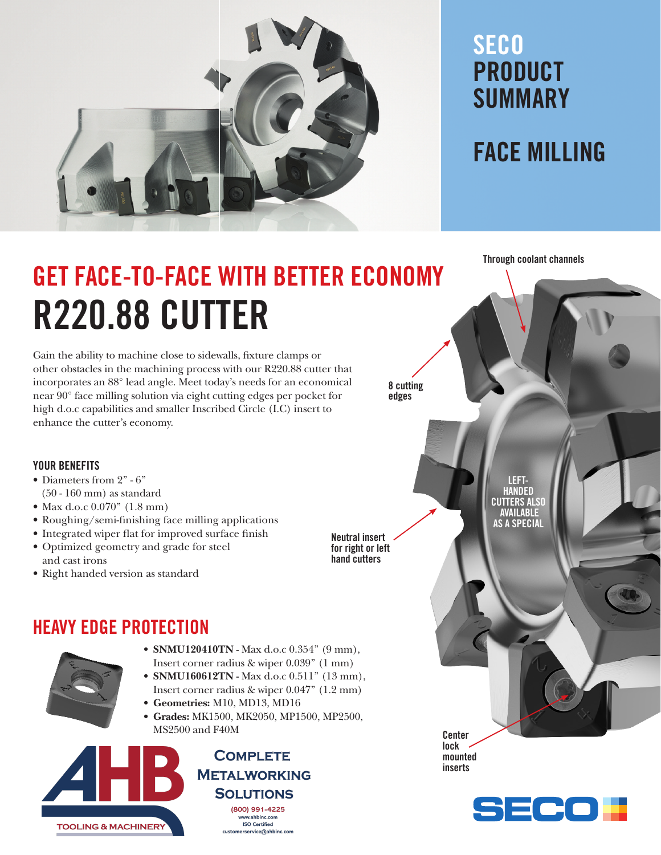

### **SECO** PRODUCT SUMMARY

### FACE MILLING

Through coolant channels

# GET FACE-TO-FACE WITH BETTER ECONOMY R220.88 CUTTER

Gain the ability to machine close to sidewalls, fixture clamps or other obstacles in the machining process with our R220.88 cutter that incorporates an 88° lead angle. Meet today's needs for an economical near 90° face milling solution via eight cutting edges per pocket for high d.o.c capabilities and smaller Inscribed Circle (I.C) insert to enhance the cutter's economy.

8 cutting edges

Neutral insert for right or left hand cutters

LEFT-**HANDED** CUTTERS ALSO AVAILABLE AS A SPECIAL

 $\equiv$   $\bullet$   $\bullet$   $\equiv$ 

**Center** lock mounted inserts

YOUR BENEFITS

- Diameters from 2" 6"
- (50 160 mm) as standard
- Max d.o.c 0.070" (1.8 mm)
- Roughing/semi-finishing face milling applications
- Integrated wiper flat for improved surface finish
- Optimized geometry and grade for steel and cast irons
- Right handed version as standard

### HEAVY EDGE PROTECTION

- 
- **SNMU120410TN** Max d.o.c 0.354" (9 mm), Insert corner radius & wiper 0.039" (1 mm)
- SNMU160612TN Max d.o.c 0.511" (13 mm), Insert corner radius & wiper 0.047" (1.2 mm)
- Geometries: M10, MD13, MD16
- Grades: MK1500, MK2050, MP1500, MP2500, MS2500 and F40M



**COMPLETE METALWORKING SOLUTIONS** 

(800) 991-4225 www.ahbinc.com **ISO Certified** customerservice@ahbinc.com